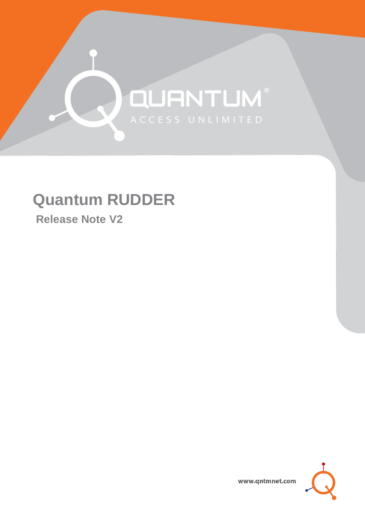# QUANTUM®

# **Quantum RUDDER**

**Release Note V2**



www.qntmnet.com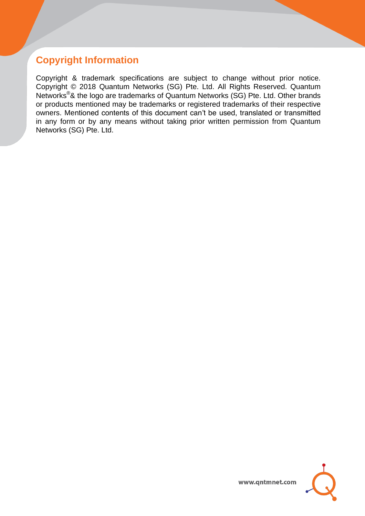# **Copyright Information**

Copyright & trademark specifications are subject to change without prior notice. Copyright © 2018 Quantum Networks (SG) Pte. Ltd. All Rights Reserved. Quantum Networks®& the logo are trademarks of Quantum Networks (SG) Pte. Ltd. Other brands or products mentioned may be trademarks or registered trademarks of their respective owners. Mentioned contents of this document can't be used, translated or transmitted in any form or by any means without taking prior written permission from Quantum Networks (SG) Pte. Ltd.

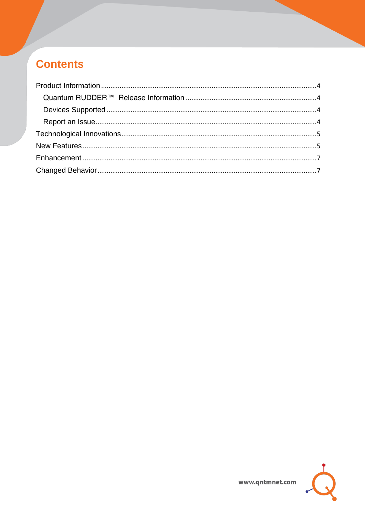# **Contents**

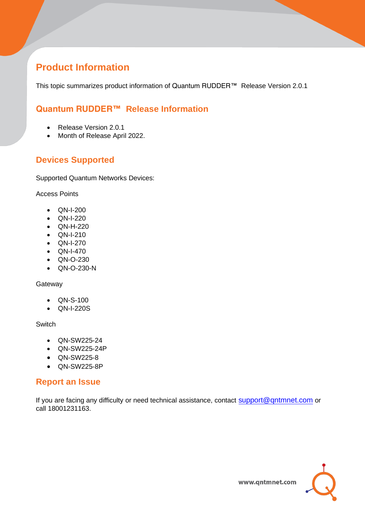# <span id="page-3-0"></span>**Product Information**

This topic summarizes product information of Quantum RUDDER™ Release Version 2.0.1

## <span id="page-3-1"></span>**Quantum RUDDER™ Release Information**

- Release Version 2.0.1
- Month of Release April 2022.

### <span id="page-3-2"></span>**Devices Supported**

Supported Quantum Networks Devices:

Access Points

- QN-I-200
- QN-I-220
- QN-H-220
- QN-I-210
- QN-I-270
- QN-I-470
- QN-O-230
- QN-O-230-N

#### **Gateway**

- QN-S-100
- QN-I-220S

Switch

- QN-SW225-24
- QN-SW225-24P
- QN-SW225-8
- QN-SW225-8P

#### <span id="page-3-3"></span>**Report an Issue**

If you are facing any difficulty or need technical assistance, contact [support@qntmnet.com](mailto:support@qntmnet.com) or call 18001231163.

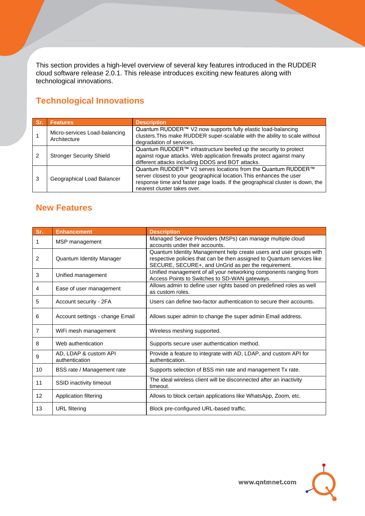This section provides a high-level overview of several key features introduced in the RUDDER cloud software release 2.0.1. This release introduces exciting new features along with technological innovations.

# <span id="page-4-0"></span>**Technological Innovations**

| Sr | <b>Features</b>                               | <b>Description</b>                                                                                                                                                                                                                                   |
|----|-----------------------------------------------|------------------------------------------------------------------------------------------------------------------------------------------------------------------------------------------------------------------------------------------------------|
|    | Micro-services Load-balancing<br>Architecture | Quantum RUDDER™ V2 now supports fully elastic load-balancing<br>clusters. This make RUDDER super-scalable with the ability to scale without<br>degradation of services.                                                                              |
|    | <b>Stronger Security Shield</b>               | Quantum RUDDER™ infrastructure beefed up the security to protect<br>against rogue attacks. Web application firewalls protect against many<br>different attacks including DDOS and BOT attacks.                                                       |
| 3  | Geographical Load Balancer                    | Quantum RUDDER™ V2 serves locations from the Quantum RUDDER™<br>server closest to your geographical location. This enhances the user<br>response time and faster page loads. If the geographical cluster is down, the<br>nearest cluster takes over. |

#### <span id="page-4-1"></span>**New Features**

| Sr. | <b>Enhancement</b>                      | <b>Description</b>                                                                                                                                                                                  |
|-----|-----------------------------------------|-----------------------------------------------------------------------------------------------------------------------------------------------------------------------------------------------------|
| 1   | MSP management                          | Managed Service Providers (MSPs) can manage multiple cloud<br>accounts under their accounts.                                                                                                        |
| 2   | Quantum Identity Manager                | Quantum Identity Management help create users and user groups with<br>respective policies that can be then assigned to Quantum services like<br>SECURE, SECURE+, and UnGrid as per the requirement. |
| 3   | Unified management                      | Unified management of all your networking components ranging from<br>Access Points to Switches to SD-WAN gateways.                                                                                  |
| 4   | Ease of user management                 | Allows admin to define user rights based on predefined roles as well<br>as custom roles.                                                                                                            |
| 5   | Account security - 2FA                  | Users can define two-factor authentication to secure their accounts.                                                                                                                                |
| 6   | Account settings - change Email         | Allows super admin to change the super admin Email address.                                                                                                                                         |
| 7   | WiFi mesh management                    | Wireless meshing supported.                                                                                                                                                                         |
| 8   | Web authentication                      | Supports secure user authentication method.                                                                                                                                                         |
| 9   | AD, LDAP & custom API<br>authentication | Provide a feature to integrate with AD, LDAP, and custom API for<br>authentication.                                                                                                                 |
| 10  | BSS rate / Management rate              | Supports selection of BSS min rate and management Tx rate.                                                                                                                                          |
| 11  | SSID inactivity timeout                 | The ideal wireless client will be disconnected after an inactivity<br>timeout.                                                                                                                      |
| 12  | Application filtering                   | Allows to block certain applications like WhatsApp, Zoom, etc.                                                                                                                                      |
| 13  | <b>URL</b> filtering                    | Block pre-configured URL-based traffic.                                                                                                                                                             |

www.qntmnet.com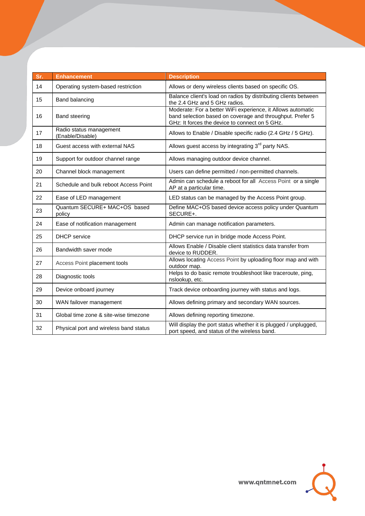| Sr. | <b>Enhancement</b>                          | <b>Description</b>                                                                                                                                                         |
|-----|---------------------------------------------|----------------------------------------------------------------------------------------------------------------------------------------------------------------------------|
| 14  | Operating system-based restriction          | Allows or deny wireless clients based on specific OS.                                                                                                                      |
| 15  | Band balancing                              | Balance client's load on radios by distributing clients between<br>the 2.4 GHz and 5 GHz radios.                                                                           |
| 16  | <b>Band steering</b>                        | Moderate: For a better WiFi experience, it Allows automatic<br>band selection based on coverage and throughput. Prefer 5<br>GHz: It forces the device to connect on 5 GHz. |
| 17  | Radio status management<br>(Enable/Disable) | Allows to Enable / Disable specific radio (2.4 GHz / 5 GHz).                                                                                                               |
| 18  | Guest access with external NAS              | Allows guest access by integrating 3 <sup>rd</sup> party NAS.                                                                                                              |
| 19  | Support for outdoor channel range           | Allows managing outdoor device channel.                                                                                                                                    |
| 20  | Channel block management                    | Users can define permitted / non-permitted channels.                                                                                                                       |
| 21  | Schedule and bulk reboot Access Point       | Admin can schedule a reboot for all Access Point or a single<br>AP at a particular time.                                                                                   |
| 22  | Ease of LED management                      | LED status can be managed by the Access Point group.                                                                                                                       |
| 23  | Quantum SECURE+ MAC+OS based<br>policy      | Define MAC+OS based device access policy under Quantum<br>SECURE+.                                                                                                         |
| 24  | Ease of notification management             | Admin can manage notification parameters.                                                                                                                                  |
| 25  | <b>DHCP</b> service                         | DHCP service run in bridge mode Access Point.                                                                                                                              |
| 26  | Bandwidth saver mode                        | Allows Enable / Disable client statistics data transfer from<br>device to RUDDER.                                                                                          |
| 27  | Access Point placement tools                | Allows locating Access Point by uploading floor map and with<br>outdoor map.                                                                                               |
| 28  | Diagnostic tools                            | Helps to do basic remote troubleshoot like traceroute, ping,<br>nslookup, etc.                                                                                             |
| 29  | Device onboard journey                      | Track device onboarding journey with status and logs.                                                                                                                      |
| 30  | WAN failover management                     | Allows defining primary and secondary WAN sources.                                                                                                                         |
| 31  | Global time zone & site-wise timezone       | Allows defining reporting timezone.                                                                                                                                        |
| 32  | Physical port and wireless band status      | Will display the port status whether it is plugged / unplugged,<br>port speed, and status of the wireless band.                                                            |